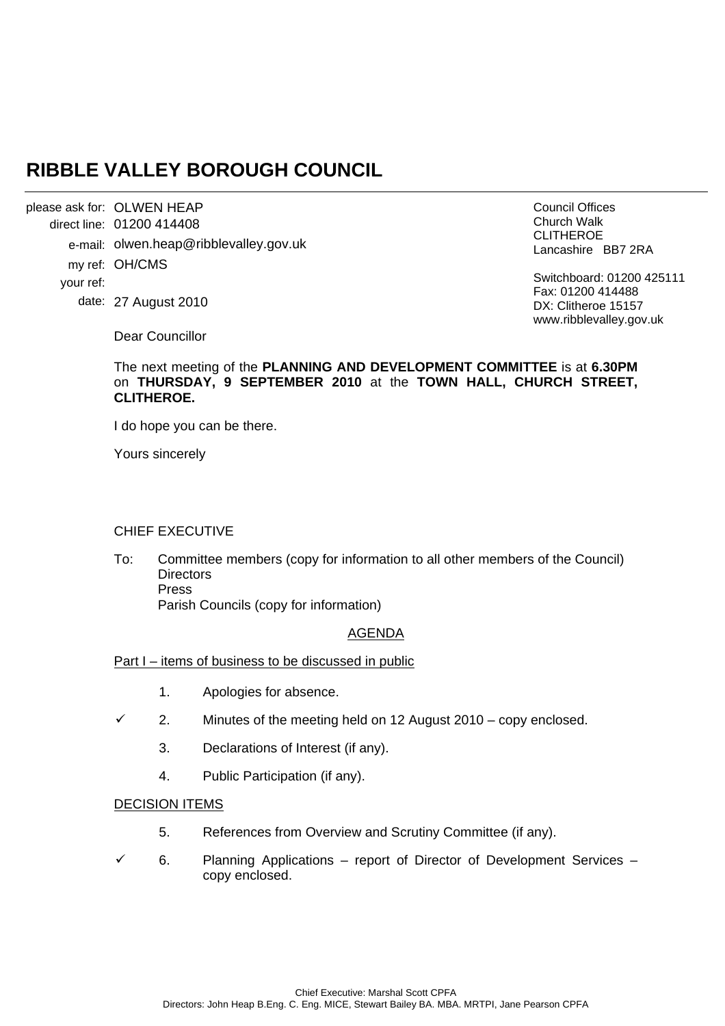# **RIBBLE VALLEY BOROUGH COUNCIL**

please ask for: OLWEN HEAP direct line: 01200 414408 e-mail: olwen.heap@ribblevalley.gov.uk my ref: OH/CMS your ref: date: 27 August 2010

Council Offices Church Walk CLITHEROE Lancashire BB7 2RA

Switchboard: 01200 425111 Fax: 01200 414488 DX: Clitheroe 15157 www.ribblevalley.gov.uk

Dear Councillor

### The next meeting of the **PLANNING AND DEVELOPMENT COMMITTEE** is at **6.30PM** on **THURSDAY, 9 SEPTEMBER 2010** at the **TOWN HALL, CHURCH STREET, CLITHEROE.**

I do hope you can be there.

Yours sincerely

### CHIEF EXECUTIVE

To: Committee members (copy for information to all other members of the Council) **Directors**  Press Parish Councils (copy for information)

#### AGENDA

Part I – items of business to be discussed in public

- 1. Apologies for absence.
- $\checkmark$  2. Minutes of the meeting held on 12 August 2010 copy enclosed.
	- 3. Declarations of Interest (if any).
	- 4. Public Participation (if any).

#### DECISION ITEMS

- 5. References from Overview and Scrutiny Committee (if any).
- $6.$  Planning Applications report of Director of Development Services copy enclosed.